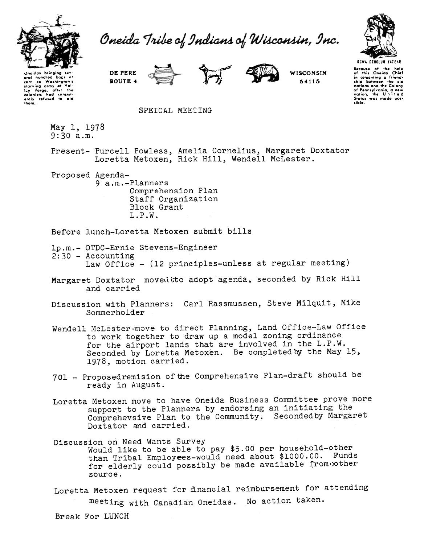

Oneida Tribe of Indians of Wisconsin, Inc.



aral hundred bags of to Washington's  $\frac{1}{10}$ starving army at Val-<br>Isv. Foroe, after the lay forge, after the<br>colonists had consistently refused to aid<br>them.

Unaidas bringing sav



**WISCONSIN** 54115

Bocause of the help<br>of this Oneida Chief<br>in comenting a friend-<br>ship between the six<br>nations and the Colony of Pennsylvania, a new<br>nation, the United<br>Status was made possible.

## SPEICAL MEETING

May 1, 1978  $9:30$  a.m.

Present- Purcell Powless, Amelia Cornelius, Margaret Doxtator Loretta Metoxen, Rick Hill, Wendell McLester.

Proposed Agenda-

DE PERE

ROUTE 4

9 a.m.-Planners Comprehension Plan Staff Organization Block Grant  $L.P.W.$ 

Before lunch-Loretta Metoxen submit bills

lp.m.- OTDC-Ernie Stevens-Engineer  $2:30 -$  Accounting Law Office - (12 principles-unless at regular meeting)

- Margaret Doxtator moved to adopt agenda, seconded by Rick Hill and carried
- Discussion with Planners: Carl Rassmussen, Steve Milquit, Mike Sommerholder
- Wendell McLester move to direct Planning, Land Office-Law Office to work together to draw up a model zoning ordinance for the airport lands that are involved in the L.P.W. Seconded by Loretta Metoxen. Be completed by the May 15, 1978, motion carried.
- 701 Proposedremision of the Comprehensive Plan-draft should be ready in August.
- Loretta Metoxen move to have Oneida Business Committee prove more support to the Planners by endorsing an initiating the Comprehevsive Plan to the Community. Seconded by Margaret Doxtator and carried.

Discussion on Need Wants Survey Would like to be able to pay \$5.00 per household-other than Tribal Employees-would need about \$1000.00. Funds for elderly could possibly be made available from other source.

Loretta Metoxen request for financial reimbursement for attending meeting with Canadian Oneidas. No action taken.

Break For LUNCH